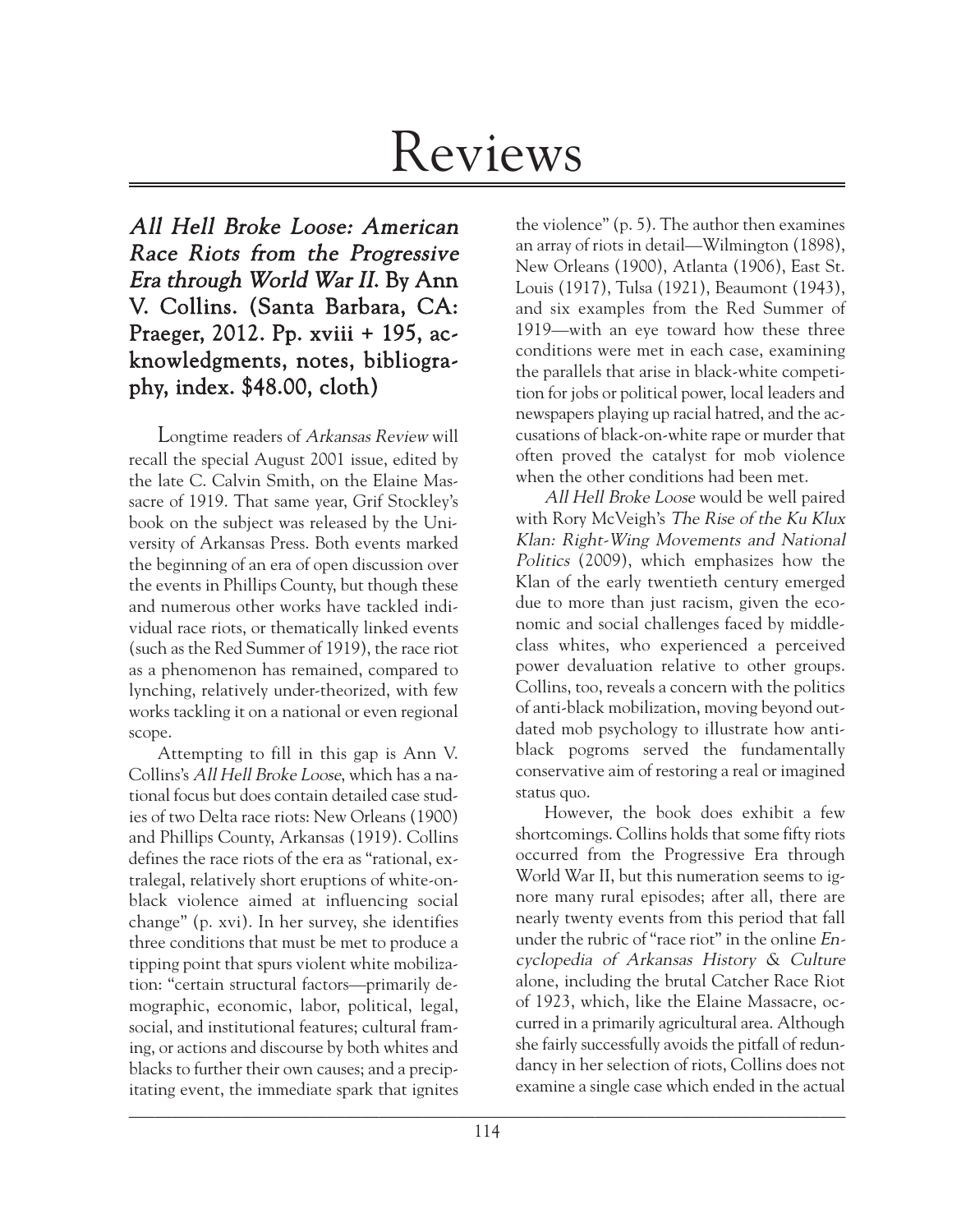# Reviews

All Hell Broke Loose: American Race Riots from the Progressive Era through World War II. By Ann V. Collins. (Santa Barbara, CA: Praeger, 2012. Pp. xviii + 195, acknowledgments, notes, bibliography, index. \$48.00, cloth)

Longtime readers of Arkansas Review will recall the special August 2001 issue, edited by the late C. Calvin Smith, on the Elaine Massacre of 1919. That same year, Grif Stockley's book on the subject was released by the University of Arkansas Press. Both events marked the beginning of an era of open discussion over the events in Phillips County, but though these and numerous other works have tackled individual race riots, or thematically linked events (such as the Red Summer of 1919), the race riot as a phenomenon has remained, compared to lynching, relatively under-theorized, with few works tackling it on a national or even regional scope.

 $\mathcal{L}_\mathcal{L} = \mathcal{L}_\mathcal{L} = \mathcal{L}_\mathcal{L} = \mathcal{L}_\mathcal{L} = \mathcal{L}_\mathcal{L} = \mathcal{L}_\mathcal{L} = \mathcal{L}_\mathcal{L} = \mathcal{L}_\mathcal{L} = \mathcal{L}_\mathcal{L} = \mathcal{L}_\mathcal{L} = \mathcal{L}_\mathcal{L} = \mathcal{L}_\mathcal{L} = \mathcal{L}_\mathcal{L} = \mathcal{L}_\mathcal{L} = \mathcal{L}_\mathcal{L} = \mathcal{L}_\mathcal{L} = \mathcal{L}_\mathcal{L}$ Attempting to fill in this gap is Ann V. Collins's All Hell Broke Loose, which has a national focus but does contain detailed case studies of two Delta race riots: New Orleans (1900) and Phillips County, Arkansas (1919). Collins defines the race riots of the era as "rational, extralegal, relatively short eruptions of white-onblack violence aimed at influencing social change" (p. xvi). In her survey, she identifies three conditions that must be met to produce a tipping point that spurs violent white mobilization: "certain structural factors—primarily demographic, economic, labor, political, legal, social, and institutional features; cultural framing, or actions and discourse by both whites and blacks to further their own causes; and a precipitating event, the immediate spark that ignites

the violence" (p. 5). The author then examines an array of riots in detail—Wilmington (1898), New Orleans (1900), Atlanta (1906), East St. Louis (1917), Tulsa (1921), Beaumont (1943), and six examples from the Red Summer of 1919—with an eye toward how these three conditions were met in each case, examining the parallels that arise in black-white competition for jobs or political power, local leaders and newspapers playing up racial hatred, and the accusations of black-on-white rape or murder that often proved the catalyst for mob violence when the other conditions had been met.

All Hell Broke Loose would be well paired with Rory McVeigh's The Rise of the Ku Klux Klan: Right-Wing Movements and National Politics (2009), which emphasizes how the Klan of the early twentieth century emerged due to more than just racism, given the economic and social challenges faced by middleclass whites, who experienced a perceived power devaluation relative to other groups. Collins, too, reveals a concern with the politics of anti-black mobilization, moving beyond outdated mob psychology to illustrate how antiblack pogroms served the fundamentally conservative aim of restoring a real or imagined status quo.

However, the book does exhibit a few shortcomings. Collins holds that some fifty riots occurred from the Progressive Era through World War II, but this numeration seems to ignore many rural episodes; after all, there are nearly twenty events from this period that fall under the rubric of "race riot" in the online Encyclopedia of Arkansas History & Culture alone, including the brutal Catcher Race Riot of 1923, which, like the Elaine Massacre, occurred in a primarily agricultural area. Although she fairly successfully avoids the pitfall of redundancy in her selection of riots, Collins does not examine a single case which ended in the actual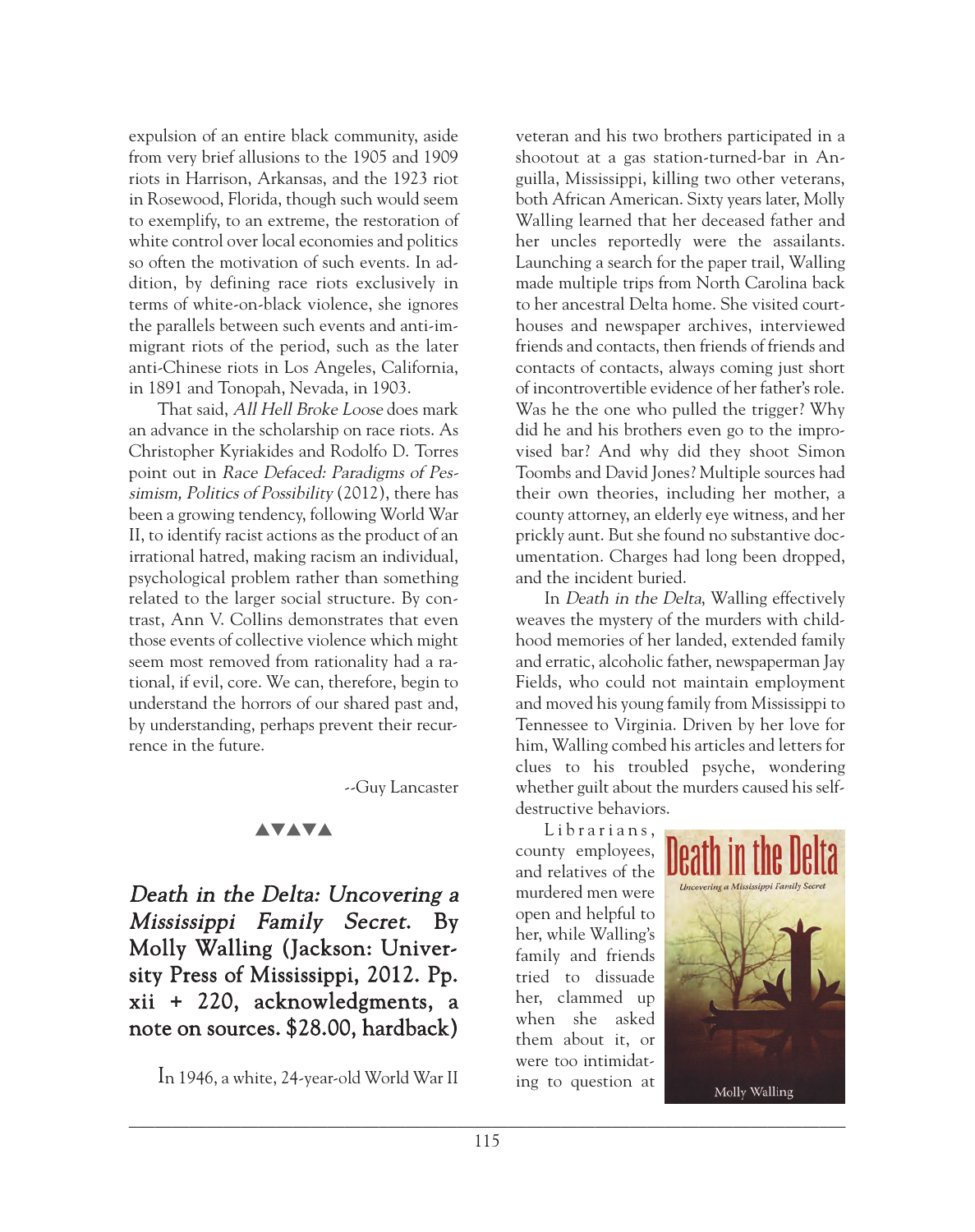expulsion of an entire black community, aside from very brief allusions to the 1905 and 1909 riots in Harrison, Arkansas, and the 1923 riot in Rosewood, Florida, though such would seem to exemplify, to an extreme, the restoration of white control over local economies and politics so often the motivation of such events. In addition, by defining race riots exclusively in terms of white-on-black violence, she ignores the parallels between such events and anti-immigrant riots of the period, such as the later anti-Chinese riots in Los Angeles, California, in 1891 and Tonopah, Nevada, in 1903.

That said, All Hell Broke Loose does mark an advance in the scholarship on race riots. As Christopher Kyriakides and Rodolfo D. Torres point out in Race Defaced: Paradigms of Pessimism, Politics of Possibility (2012), there has been a growing tendency, following World War II, to identify racist actions as the product of an irrational hatred, making racism an individual, psychological problem rather than something related to the larger social structure. By contrast, Ann V. Collins demonstrates that even those events of collective violence which might seem most removed from rationality had a rational, if evil, core. We can, therefore, begin to understand the horrors of our shared past and, by understanding, perhaps prevent their recurrence in the future.

--Guy Lancaster

## **AVAVA**

Death in the Delta: Uncovering a Mississippi Family Secret. By Molly Walling (Jackson: University Press of Mississippi, 2012. Pp. xii + 220, acknowledgments, a note on sources. \$28.00, hardback)

In 1946, a white, 24-year-old World War II

veteran and his two brothers participated in a shootout at a gas station-turned-bar in Anguilla, Mississippi, killing two other veterans, both African American. Sixty years later, Molly Walling learned that her deceased father and her uncles reportedly were the assailants. Launching a search for the paper trail, Walling made multiple trips from North Carolina back to her ancestral Delta home. She visited courthouses and newspaper archives, interviewed friends and contacts, then friends of friends and contacts of contacts, always coming just short of incontrovertible evidence of her father's role. Was he the one who pulled the trigger? Why did he and his brothers even go to the improvised bar? And why did they shoot Simon Toombs and David Jones? Multiple sources had their own theories, including her mother, a county attorney, an elderly eye witness, and her prickly aunt. But she found no substantive documentation. Charges had long been dropped, and the incident buried.

In Death in the Delta, Walling effectively weaves the mystery of the murders with childhood memories of her landed, extended family and erratic, alcoholic father, newspaperman Jay Fields, who could not maintain employment and moved his young family from Mississippi to Tennessee to Virginia. Driven by her love for him, Walling combed his articles and letters for clues to his troubled psyche, wondering whether guilt about the murders caused his selfdestructive behaviors.

Librarians, county employees, and relatives of the murdered men were open and helpful to her, while Walling's family and friends tried to dissuade her, clammed up when she asked them about it, or were too intimidating to question at

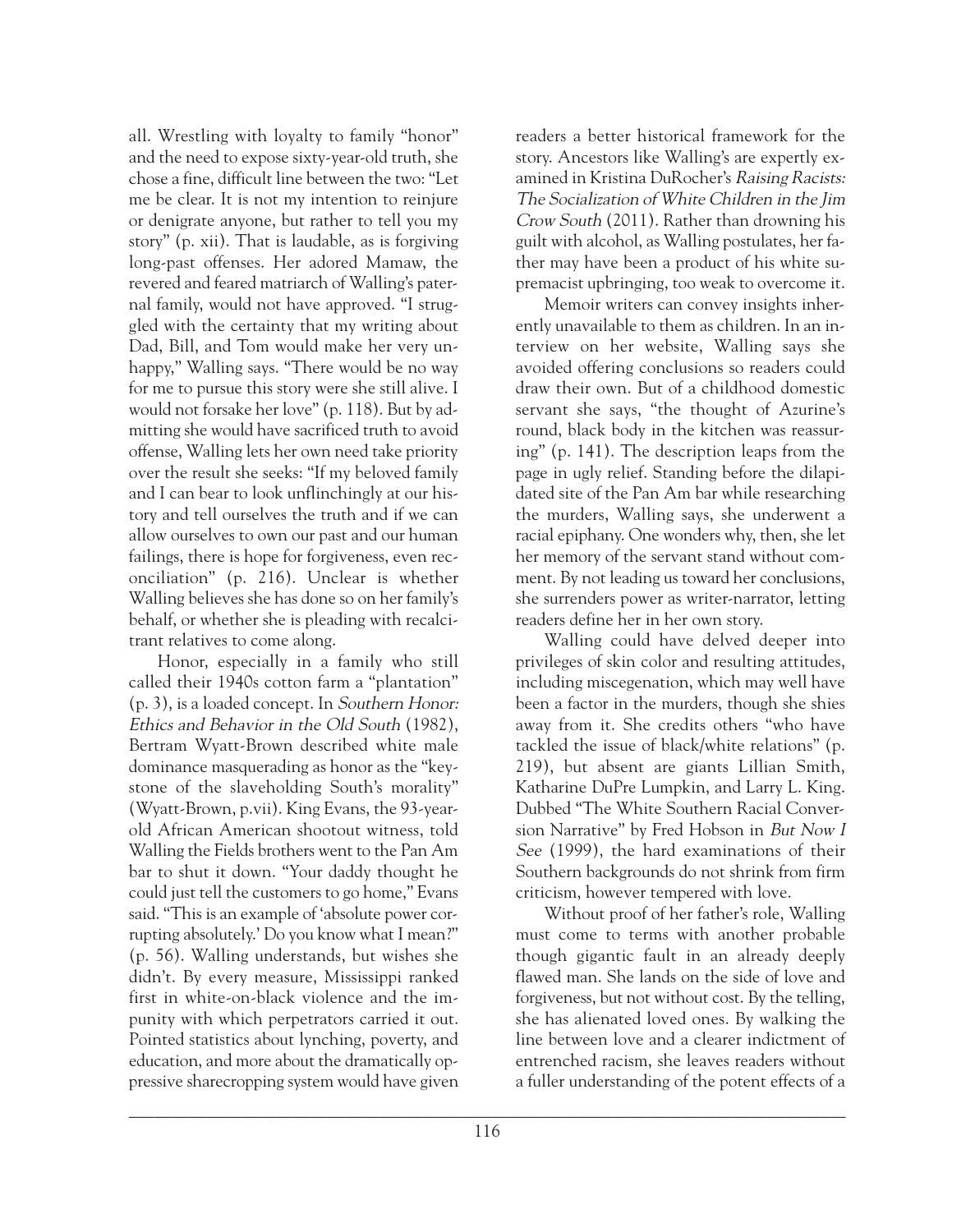all. Wrestling with loyalty to family "honor" and the need to expose sixty-year-old truth, she chose a fine, difficult line between the two: "Let me be clear. It is not my intention to reinjure or denigrate anyone, but rather to tell you my story" (p. xii). That is laudable, as is forgiving long-past offenses. Her adored Mamaw, the revered and feared matriarch of Walling's paternal family, would not have approved. "I struggled with the certainty that my writing about Dad, Bill, and Tom would make her very unhappy," Walling says. "There would be no way for me to pursue this story were she still alive. I would not forsake her love" (p. 118). But by admitting she would have sacrificed truth to avoid offense, Walling lets her own need take priority over the result she seeks: "If my beloved family and I can bear to look unflinchingly at our history and tell ourselves the truth and if we can allow ourselves to own our past and our human failings, there is hope for forgiveness, even reconciliation" (p. 216). Unclear is whether Walling believes she has done so on her family's behalf, or whether she is pleading with recalcitrant relatives to come along.

Honor, especially in a family who still called their 1940s cotton farm a "plantation" (p. 3), is a loaded concept. In Southern Honor: Ethics and Behavior in the Old South (1982), Bertram Wyatt-Brown described white male dominance masquerading as honor as the "keystone of the slaveholding South's morality" (Wyatt-Brown, p.vii). King Evans, the 93-yearold African American shootout witness, told Walling the Fields brothers went to the Pan Am bar to shut it down. "Your daddy thought he could just tell the customers to go home," Evans said. "This is an example of 'absolute power corrupting absolutely.' Do you know what I mean?" (p. 56). Walling understands, but wishes she didn't. By every measure, Mississippi ranked first in white-on-black violence and the impunity with which perpetrators carried it out. Pointed statistics about lynching, poverty, and education, and more about the dramatically oppressive sharecropping system would have given

readers a better historical framework for the story. Ancestors like Walling's are expertly examined in Kristina DuRocher's Raising Racists: The Socialization of White Children in the Jim Crow South (2011). Rather than drowning his guilt with alcohol, as Walling postulates, her father may have been a product of his white supremacist upbringing, too weak to overcome it.

Memoir writers can convey insights inherently unavailable to them as children. In an interview on her website, Walling says she avoided offering conclusions so readers could draw their own. But of a childhood domestic servant she says, "the thought of Azurine's round, black body in the kitchen was reassuring" (p. 141). The description leaps from the page in ugly relief. Standing before the dilapidated site of the Pan Am bar while researching the murders, Walling says, she underwent a racial epiphany. One wonders why, then, she let her memory of the servant stand without comment. By not leading us toward her conclusions, she surrenders power as writer-narrator, letting readers define her in her own story.

Walling could have delved deeper into privileges of skin color and resulting attitudes, including miscegenation, which may well have been a factor in the murders, though she shies away from it. She credits others "who have tackled the issue of black/white relations" (p. 219), but absent are giants Lillian Smith, Katharine DuPre Lumpkin, and Larry L. King. Dubbed "The White Southern Racial Conversion Narrative" by Fred Hobson in But Now I See (1999), the hard examinations of their Southern backgrounds do not shrink from firm criticism, however tempered with love.

Without proof of her father's role, Walling must come to terms with another probable though gigantic fault in an already deeply flawed man. She lands on the side of love and forgiveness, but not without cost. By the telling, she has alienated loved ones. By walking the line between love and a clearer indictment of entrenched racism, she leaves readers without a fuller understanding of the potent effects of a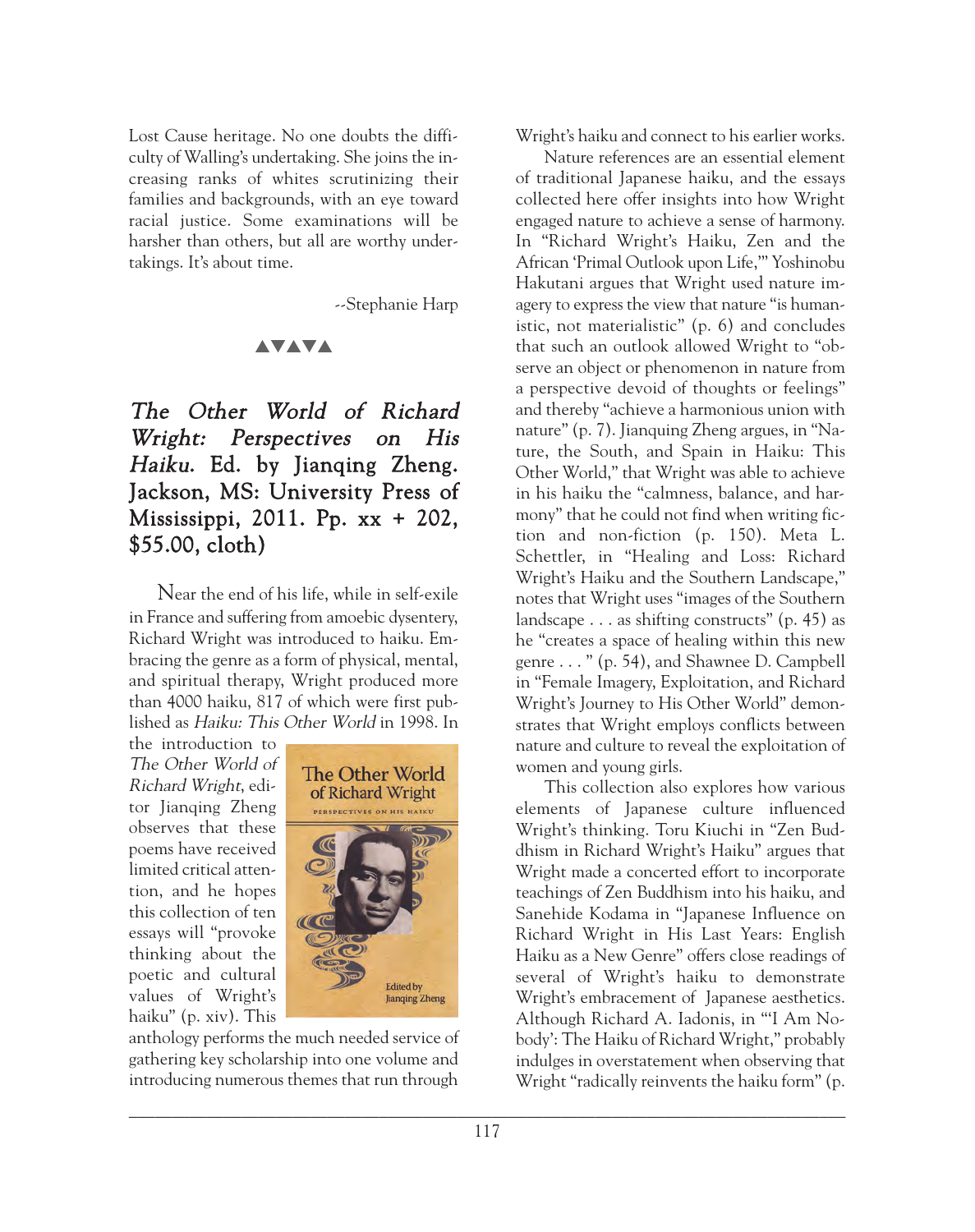Lost Cause heritage. No one doubts the difficulty of Walling's undertaking. She joins the increasing ranks of whites scrutinizing their families and backgrounds, with an eye toward racial justice. Some examinations will be harsher than others, but all are worthy undertakings. It's about time.

--Stephanie Harp

## **AVAVA**

## The Other World of Richard Wright: Perspectives on His Haiku. Ed. by Jianqing Zheng. Jackson, MS: University Press of Mississippi, 2011. Pp. xx + 202, \$55.00, cloth)

Near the end of his life, while in self-exile in France and suffering from amoebic dysentery, Richard Wright was introduced to haiku. Embracing the genre as a form of physical, mental, and spiritual therapy, Wright produced more than 4000 haiku, 817 of which were first published as Haiku: This Other World in 1998. In

the introduction to The Other World of Richard Wright, editor Jianqing Zheng observes that these poems have received limited critical attention, and he hopes this collection of ten essays will "provoke thinking about the poetic and cultural values of Wright's haiku" (p. xiv). This



anthology performs the much needed service of gathering key scholarship into one volume and introducing numerous themes that run through

Wright's haiku and connect to his earlier works.

Nature references are an essential element of traditional Japanese haiku, and the essays collected here offer insights into how Wright engaged nature to achieve a sense of harmony. In "Richard Wright's Haiku, Zen and the African 'Primal Outlook upon Life,'" Yoshinobu Hakutani argues that Wright used nature imagery to express the view that nature "is humanistic, not materialistic" (p. 6) and concludes that such an outlook allowed Wright to "observe an object or phenomenon in nature from a perspective devoid of thoughts or feelings" and thereby "achieve a harmonious union with nature" (p. 7). Jianquing Zheng argues, in "Nature, the South, and Spain in Haiku: This Other World," that Wright was able to achieve in his haiku the "calmness, balance, and harmony" that he could not find when writing fiction and non-fiction (p. 150). Meta L. Schettler, in "Healing and Loss: Richard Wright's Haiku and the Southern Landscape," notes that Wright uses "images of the Southern landscape  $\dots$  as shifting constructs" (p. 45) as he "creates a space of healing within this new genre . . . " (p. 54), and Shawnee D. Campbell in "Female Imagery, Exploitation, and Richard Wright's Journey to His Other World" demonstrates that Wright employs conflicts between nature and culture to reveal the exploitation of women and young girls.

This collection also explores how various elements of Japanese culture influenced Wright's thinking. Toru Kiuchi in "Zen Buddhism in Richard Wright's Haiku" argues that Wright made a concerted effort to incorporate teachings of Zen Buddhism into his haiku, and Sanehide Kodama in "Japanese Influence on Richard Wright in His Last Years: English Haiku as a New Genre" offers close readings of several of Wright's haiku to demonstrate Wright's embracement of Japanese aesthetics. Although Richard A. Iadonis, in "'I Am Nobody': The Haiku of Richard Wright," probably indulges in overstatement when observing that Wright "radically reinvents the haiku form" (p.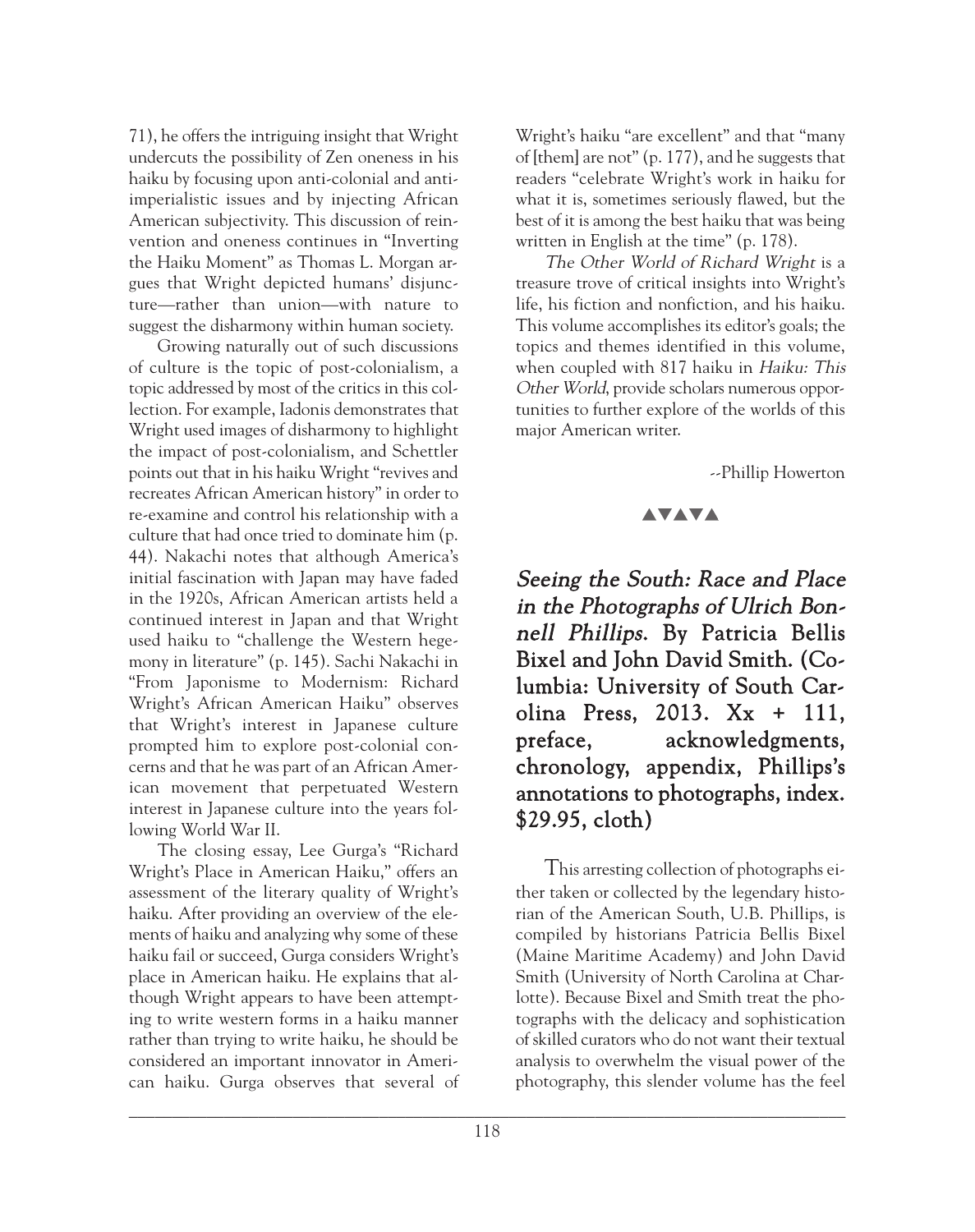71), he offers the intriguing insight that Wright undercuts the possibility of Zen oneness in his haiku by focusing upon anti-colonial and antiimperialistic issues and by injecting African American subjectivity. This discussion of reinvention and oneness continues in "Inverting the Haiku Moment" as Thomas L. Morgan argues that Wright depicted humans' disjuncture—rather than union—with nature to suggest the disharmony within human society.

Growing naturally out of such discussions of culture is the topic of post-colonialism, a topic addressed by most of the critics in this collection. For example, Iadonis demonstrates that Wright used images of disharmony to highlight the impact of post-colonialism, and Schettler points out that in his haiku Wright "revives and recreates African American history" in order to re-examine and control his relationship with a culture that had once tried to dominate him (p. 44). Nakachi notes that although America's initial fascination with Japan may have faded in the 1920s, African American artists held a continued interest in Japan and that Wright used haiku to "challenge the Western hegemony in literature" (p. 145). Sachi Nakachi in "From Japonisme to Modernism: Richard Wright's African American Haiku" observes that Wright's interest in Japanese culture prompted him to explore post-colonial concerns and that he was part of an African American movement that perpetuated Western interest in Japanese culture into the years following World War II.

The closing essay, Lee Gurga's "Richard Wright's Place in American Haiku," offers an assessment of the literary quality of Wright's haiku. After providing an overview of the elements of haiku and analyzing why some of these haiku fail or succeed, Gurga considers Wright's place in American haiku. He explains that although Wright appears to have been attempting to write western forms in a haiku manner rather than trying to write haiku, he should be considered an important innovator in American haiku. Gurga observes that several of Wright's haiku "are excellent" and that "many of [them] are not" (p. 177), and he suggests that readers "celebrate Wright's work in haiku for what it is, sometimes seriously flawed, but the best of it is among the best haiku that was being written in English at the time" (p. 178).

The Other World of Richard Wright is a treasure trove of critical insights into Wright's life, his fiction and nonfiction, and his haiku. This volume accomplishes its editor's goals; the topics and themes identified in this volume, when coupled with 817 haiku in Haiku: This Other World, provide scholars numerous opportunities to further explore of the worlds of this major American writer.

--Phillip Howerton

#### **AVAVA**

Seeing the South: Race and Place in the Photographs of Ulrich Bonnell Phillips. By Patricia Bellis Bixel and John David Smith. (Columbia: University of South Carolina Press, 2013. Xx + 111, preface, acknowledgments, chronology, appendix, Phillips's annotations to photographs, index. \$29.95, cloth)

This arresting collection of photographs either taken or collected by the legendary historian of the American South, U.B. Phillips, is compiled by historians Patricia Bellis Bixel (Maine Maritime Academy) and John David Smith (University of North Carolina at Charlotte). Because Bixel and Smith treat the photographs with the delicacy and sophistication of skilled curators who do not want their textual analysis to overwhelm the visual power of the photography, this slender volume has the feel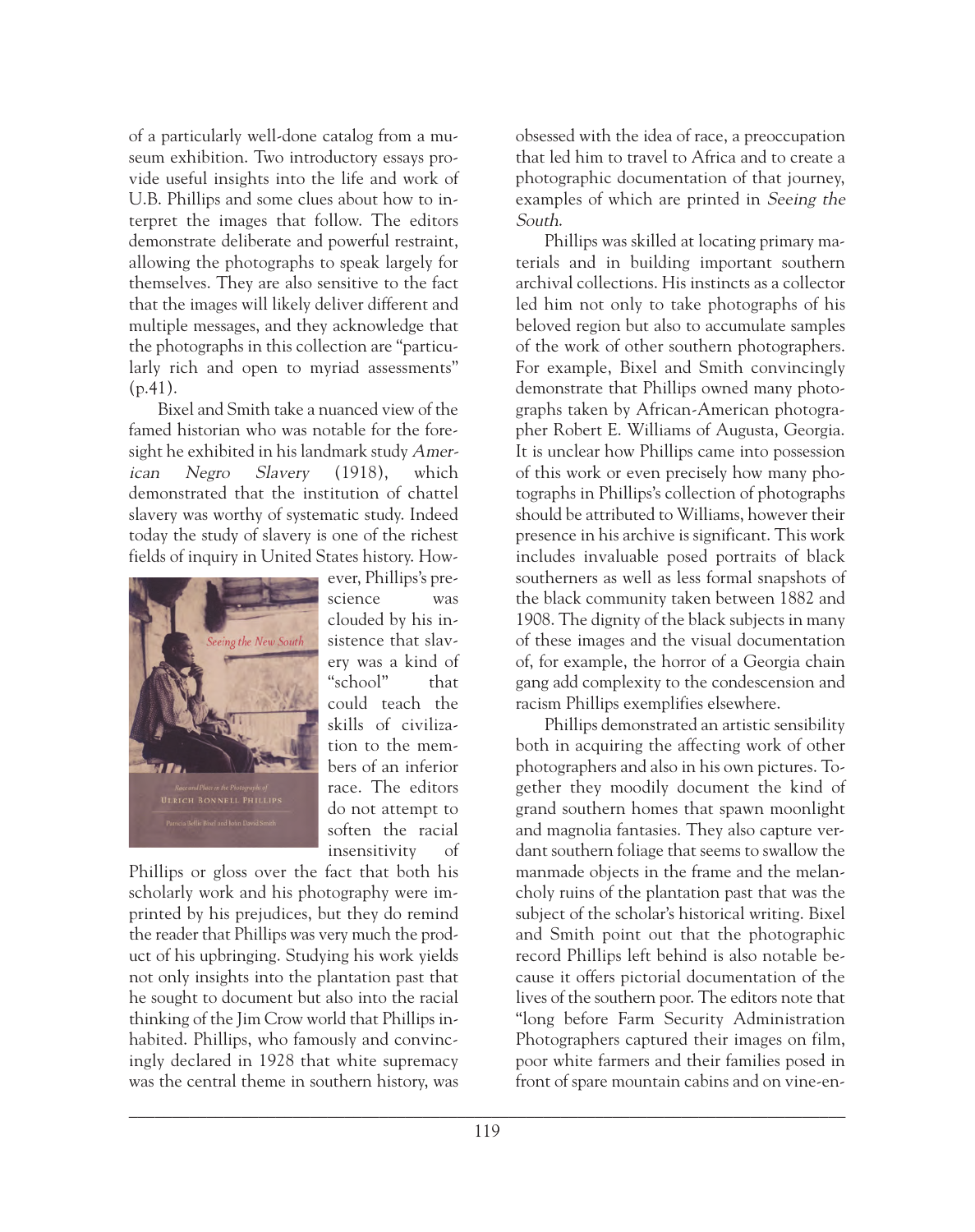of a particularly well-done catalog from a museum exhibition. Two introductory essays provide useful insights into the life and work of U.B. Phillips and some clues about how to interpret the images that follow. The editors demonstrate deliberate and powerful restraint, allowing the photographs to speak largely for themselves. They are also sensitive to the fact that the images will likely deliver different and multiple messages, and they acknowledge that the photographs in this collection are "particularly rich and open to myriad assessments" (p.41).

Bixel and Smith take a nuanced view of the famed historian who was notable for the foresight he exhibited in his landmark study American Negro Slavery (1918), which demonstrated that the institution of chattel slavery was worthy of systematic study. Indeed today the study of slavery is one of the richest fields of inquiry in United States history. How-



ever, Phillips's prescience was clouded by his insistence that slavery was a kind of "school" that could teach the skills of civilization to the members of an inferior race. The editors do not attempt to soften the racial insensitivity of

Phillips or gloss over the fact that both his scholarly work and his photography were imprinted by his prejudices, but they do remind the reader that Phillips was very much the product of his upbringing. Studying his work yields not only insights into the plantation past that he sought to document but also into the racial thinking of the Jim Crow world that Phillips inhabited. Phillips, who famously and convincingly declared in 1928 that white supremacy was the central theme in southern history, was obsessed with the idea of race, a preoccupation that led him to travel to Africa and to create a photographic documentation of that journey, examples of which are printed in Seeing the South.

Phillips was skilled at locating primary materials and in building important southern archival collections. His instincts as a collector led him not only to take photographs of his beloved region but also to accumulate samples of the work of other southern photographers. For example, Bixel and Smith convincingly demonstrate that Phillips owned many photographs taken by African-American photographer Robert E. Williams of Augusta, Georgia. It is unclear how Phillips came into possession of this work or even precisely how many photographs in Phillips's collection of photographs should be attributed to Williams, however their presence in his archive is significant. This work includes invaluable posed portraits of black southerners as well as less formal snapshots of the black community taken between 1882 and 1908. The dignity of the black subjects in many of these images and the visual documentation of, for example, the horror of a Georgia chain gang add complexity to the condescension and racism Phillips exemplifies elsewhere.

Phillips demonstrated an artistic sensibility both in acquiring the affecting work of other photographers and also in his own pictures. Together they moodily document the kind of grand southern homes that spawn moonlight and magnolia fantasies. They also capture verdant southern foliage that seems to swallow the manmade objects in the frame and the melancholy ruins of the plantation past that was the subject of the scholar's historical writing. Bixel and Smith point out that the photographic record Phillips left behind is also notable because it offers pictorial documentation of the lives of the southern poor. The editors note that "long before Farm Security Administration Photographers captured their images on film, poor white farmers and their families posed in front of spare mountain cabins and on vine-en-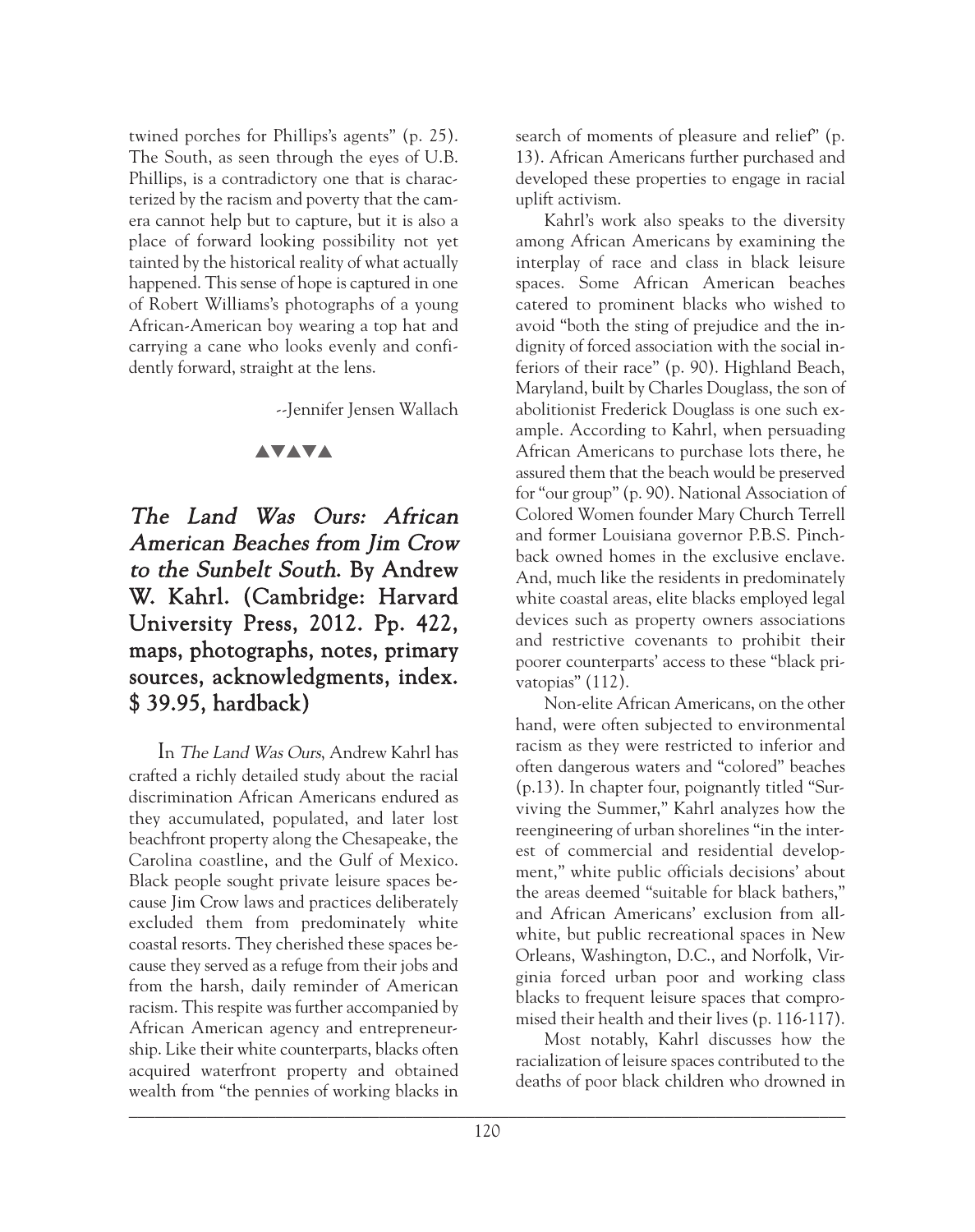twined porches for Phillips's agents" (p. 25). The South, as seen through the eyes of U.B. Phillips, is a contradictory one that is characterized by the racism and poverty that the camera cannot help but to capture, but it is also a place of forward looking possibility not yet tainted by the historical reality of what actually happened. This sense of hope is captured in one of Robert Williams's photographs of a young African-American boy wearing a top hat and carrying a cane who looks evenly and confidently forward, straight at the lens.

--Jennifer Jensen Wallach

### **AVAVA**

# The Land Was Ours: African American Beaches from Jim Crow to the Sunbelt South. By Andrew W. Kahrl. (Cambridge: Harvard University Press, 2012. Pp. 422, maps, photographs, notes, primary sources, acknowledgments, index. \$ 39.95, hardback)

In The Land Was Ours, Andrew Kahrl has crafted a richly detailed study about the racial discrimination African Americans endured as they accumulated, populated, and later lost beachfront property along the Chesapeake, the Carolina coastline, and the Gulf of Mexico. Black people sought private leisure spaces because Jim Crow laws and practices deliberately excluded them from predominately white coastal resorts. They cherished these spaces because they served as a refuge from their jobs and from the harsh, daily reminder of American racism. This respite was further accompanied by African American agency and entrepreneurship. Like their white counterparts, blacks often acquired waterfront property and obtained wealth from "the pennies of working blacks in  $\blacksquare$ 

search of moments of pleasure and relief" (p. 13). African Americans further purchased and developed these properties to engage in racial uplift activism.

Kahrl's work also speaks to the diversity among African Americans by examining the interplay of race and class in black leisure spaces. Some African American beaches catered to prominent blacks who wished to avoid "both the sting of prejudice and the indignity of forced association with the social inferiors of their race" (p. 90). Highland Beach, Maryland, built by Charles Douglass, the son of abolitionist Frederick Douglass is one such example. According to Kahrl, when persuading African Americans to purchase lots there, he assured them that the beach would be preserved for "our group" (p. 90). National Association of Colored Women founder Mary Church Terrell and former Louisiana governor P.B.S. Pinchback owned homes in the exclusive enclave. And, much like the residents in predominately white coastal areas, elite blacks employed legal devices such as property owners associations and restrictive covenants to prohibit their poorer counterparts' access to these "black privatopias" (112).

Non-elite African Americans, on the other hand, were often subjected to environmental racism as they were restricted to inferior and often dangerous waters and "colored" beaches (p.13). In chapter four, poignantly titled "Surviving the Summer," Kahrl analyzes how the reengineering of urban shorelines "in the interest of commercial and residential development," white public officials decisions' about the areas deemed "suitable for black bathers," and African Americans' exclusion from allwhite, but public recreational spaces in New Orleans, Washington, D.C., and Norfolk, Virginia forced urban poor and working class blacks to frequent leisure spaces that compromised their health and their lives (p. 116-117).

Most notably, Kahrl discusses how the racialization of leisure spaces contributed to the deaths of poor black children who drowned in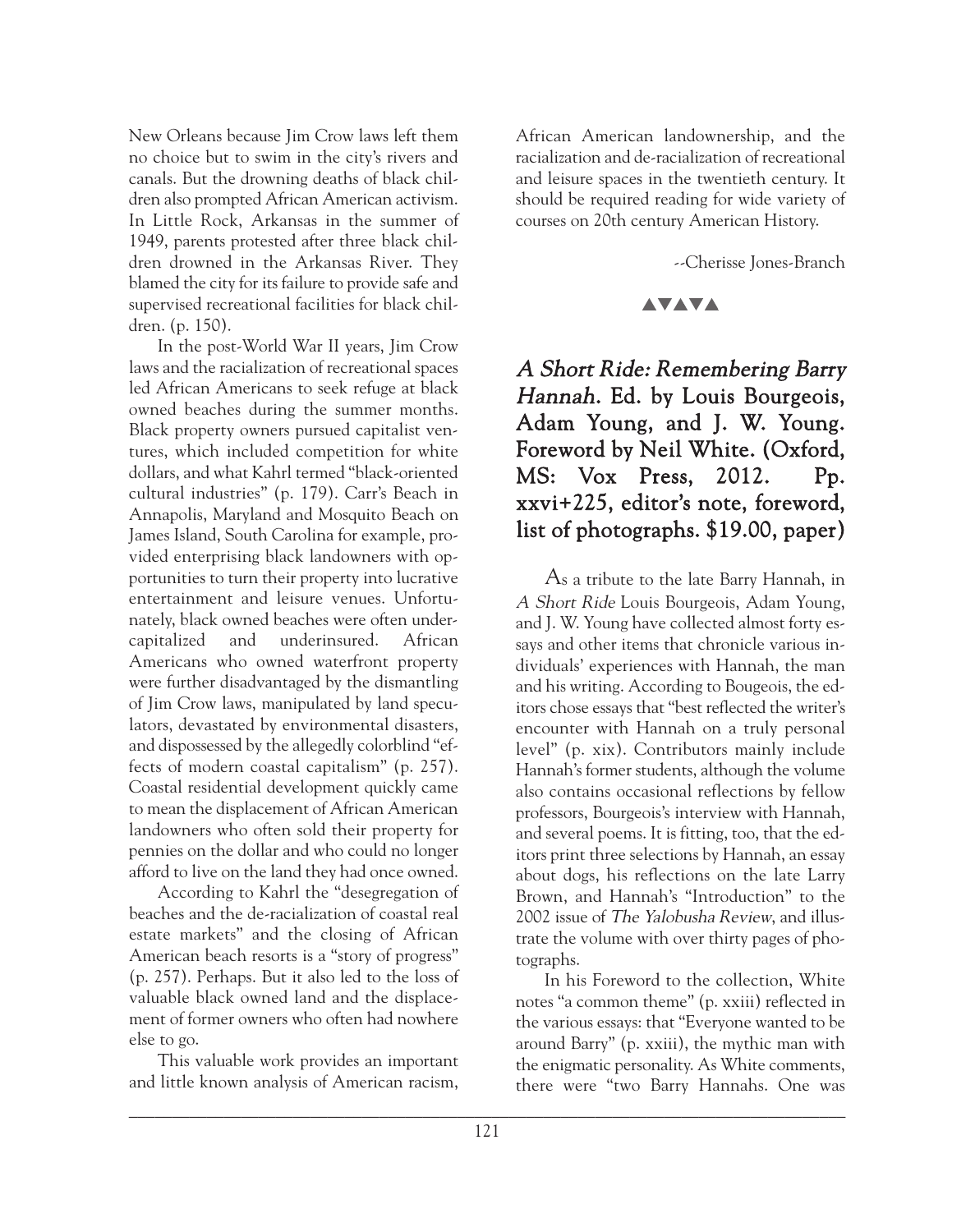New Orleans because Jim Crow laws left them no choice but to swim in the city's rivers and canals. But the drowning deaths of black children also prompted African American activism. In Little Rock, Arkansas in the summer of 1949, parents protested after three black children drowned in the Arkansas River. They blamed the city for its failure to provide safe and supervised recreational facilities for black children. (p. 150).

In the post-World War II years, Jim Crow laws and the racialization of recreational spaces led African Americans to seek refuge at black owned beaches during the summer months. Black property owners pursued capitalist ventures, which included competition for white dollars, and what Kahrl termed "black-oriented cultural industries" (p. 179). Carr's Beach in Annapolis, Maryland and Mosquito Beach on James Island, South Carolina for example, provided enterprising black landowners with opportunities to turn their property into lucrative entertainment and leisure venues. Unfortunately, black owned beaches were often undercapitalized and underinsured. African Americans who owned waterfront property were further disadvantaged by the dismantling of Jim Crow laws, manipulated by land speculators, devastated by environmental disasters, and dispossessed by the allegedly colorblind "effects of modern coastal capitalism" (p. 257). Coastal residential development quickly came to mean the displacement of African American landowners who often sold their property for pennies on the dollar and who could no longer afford to live on the land they had once owned.

According to Kahrl the "desegregation of beaches and the de-racialization of coastal real estate markets" and the closing of African American beach resorts is a "story of progress" (p. 257). Perhaps. But it also led to the loss of valuable black owned land and the displacement of former owners who often had nowhere else to go.

This valuable work provides an important and little known analysis of American racism, African American landownership, and the racialization and de-racialization of recreational and leisure spaces in the twentieth century. It should be required reading for wide variety of courses on 20th century American History.

--Cherisse Jones-Branch

## **AVAVA**

# A Short Ride: Remembering Barry Hannah. Ed. by Louis Bourgeois, Adam Young, and J. W. Young. Foreword by Neil White. (Oxford, MS: Vox Press, 2012. Pp. xxvi+225, editor's note, foreword, list of photographs. \$19.00, paper)

As a tribute to the late Barry Hannah, in A Short Ride Louis Bourgeois, Adam Young, and J. W. Young have collected almost forty essays and other items that chronicle various individuals' experiences with Hannah, the man and his writing. According to Bougeois, the editors chose essays that "best reflected the writer's encounter with Hannah on a truly personal level" (p. xix). Contributors mainly include Hannah's former students, although the volume also contains occasional reflections by fellow professors, Bourgeois's interview with Hannah, and several poems. It is fitting, too, that the editors print three selections by Hannah, an essay about dogs, his reflections on the late Larry Brown, and Hannah's "Introduction" to the 2002 issue of The Yalobusha Review, and illustrate the volume with over thirty pages of photographs.

In his Foreword to the collection, White notes "a common theme" (p. xxiii) reflected in the various essays: that "Everyone wanted to be around Barry" (p. xxiii), the mythic man with the enigmatic personality. As White comments, there were "two Barry Hannahs. One was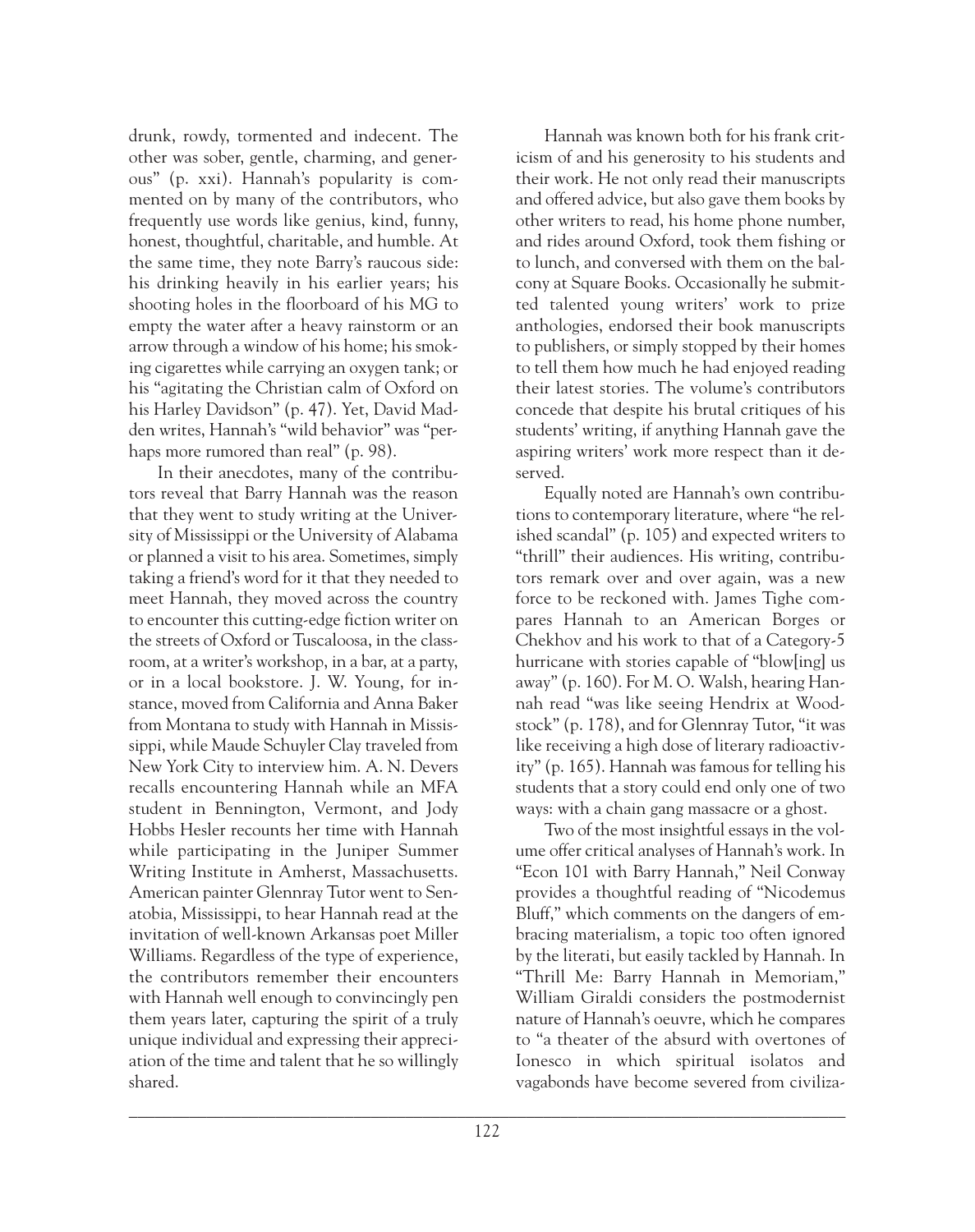drunk, rowdy, tormented and indecent. The other was sober, gentle, charming, and generous" (p. xxi). Hannah's popularity is commented on by many of the contributors, who frequently use words like genius, kind, funny, honest, thoughtful, charitable, and humble. At the same time, they note Barry's raucous side: his drinking heavily in his earlier years; his shooting holes in the floorboard of his MG to empty the water after a heavy rainstorm or an arrow through a window of his home; his smoking cigarettes while carrying an oxygen tank; or his "agitating the Christian calm of Oxford on his Harley Davidson" (p. 47). Yet, David Madden writes, Hannah's "wild behavior" was "perhaps more rumored than real" (p. 98).

In their anecdotes, many of the contributors reveal that Barry Hannah was the reason that they went to study writing at the University of Mississippi or the University of Alabama or planned a visit to his area. Sometimes, simply taking a friend's word for it that they needed to meet Hannah, they moved across the country to encounter this cutting-edge fiction writer on the streets of Oxford or Tuscaloosa, in the classroom, at a writer's workshop, in a bar, at a party, or in a local bookstore. J. W. Young, for instance, moved from California and Anna Baker from Montana to study with Hannah in Mississippi, while Maude Schuyler Clay traveled from New York City to interview him. A. N. Devers recalls encountering Hannah while an MFA student in Bennington, Vermont, and Jody Hobbs Hesler recounts her time with Hannah while participating in the Juniper Summer Writing Institute in Amherst, Massachusetts. American painter Glennray Tutor went to Senatobia, Mississippi, to hear Hannah read at the invitation of well-known Arkansas poet Miller Williams. Regardless of the type of experience, the contributors remember their encounters with Hannah well enough to convincingly pen them years later, capturing the spirit of a truly unique individual and expressing their appreciation of the time and talent that he so willingly shared.

Hannah was known both for his frank criticism of and his generosity to his students and their work. He not only read their manuscripts and offered advice, but also gave them books by other writers to read, his home phone number, and rides around Oxford, took them fishing or to lunch, and conversed with them on the balcony at Square Books. Occasionally he submitted talented young writers' work to prize anthologies, endorsed their book manuscripts to publishers, or simply stopped by their homes to tell them how much he had enjoyed reading their latest stories. The volume's contributors concede that despite his brutal critiques of his students' writing, if anything Hannah gave the aspiring writers' work more respect than it deserved.

Equally noted are Hannah's own contributions to contemporary literature, where "he relished scandal" (p. 105) and expected writers to "thrill" their audiences. His writing, contributors remark over and over again, was a new force to be reckoned with. James Tighe compares Hannah to an American Borges or Chekhov and his work to that of a Category-5 hurricane with stories capable of "blow[ing] us away" (p. 160). For M. O. Walsh, hearing Hannah read "was like seeing Hendrix at Woodstock" (p. 178), and for Glennray Tutor, "it was like receiving a high dose of literary radioactivity" (p. 165). Hannah was famous for telling his students that a story could end only one of two ways: with a chain gang massacre or a ghost.

Two of the most insightful essays in the volume offer critical analyses of Hannah's work. In "Econ 101 with Barry Hannah," Neil Conway provides a thoughtful reading of "Nicodemus Bluff," which comments on the dangers of embracing materialism, a topic too often ignored by the literati, but easily tackled by Hannah. In "Thrill Me: Barry Hannah in Memoriam," William Giraldi considers the postmodernist nature of Hannah's oeuvre, which he compares to "a theater of the absurd with overtones of Ionesco in which spiritual isolatos and vagabonds have become severed from civiliza-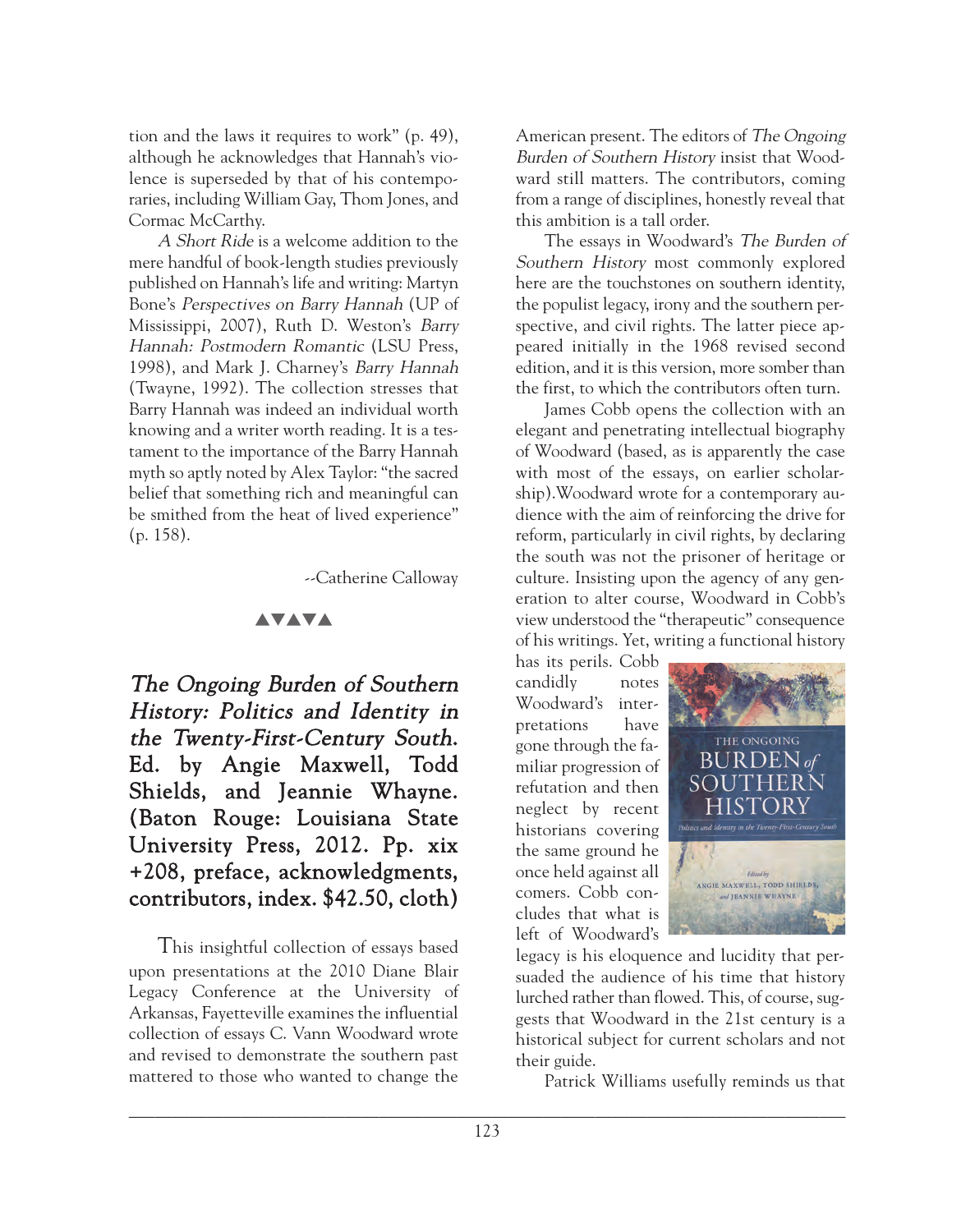tion and the laws it requires to work" (p. 49), although he acknowledges that Hannah's violence is superseded by that of his contemporaries, including William Gay, Thom Jones, and Cormac McCarthy.

A Short Ride is a welcome addition to the mere handful of book-length studies previously published on Hannah's life and writing: Martyn Bone's Perspectives on Barry Hannah (UP of Mississippi, 2007), Ruth D. Weston's Barry Hannah: Postmodern Romantic (LSU Press, 1998), and Mark J. Charney's Barry Hannah (Twayne, 1992). The collection stresses that Barry Hannah was indeed an individual worth knowing and a writer worth reading. It is a testament to the importance of the Barry Hannah myth so aptly noted by Alex Taylor: "the sacred belief that something rich and meaningful can be smithed from the heat of lived experience" (p. 158).

--Catherine Calloway

#### **AVAVA**

The Ongoing Burden of Southern History: Politics and Identity in the Twenty-First-Century South. Ed. by Angie Maxwell, Todd Shields, and Jeannie Whayne. (Baton Rouge: Louisiana State University Press, 2012. Pp. xix +208, preface, acknowledgments, contributors, index. \$42.50, cloth)

This insightful collection of essays based upon presentations at the 2010 Diane Blair Legacy Conference at the University of Arkansas, Fayetteville examines the influential collection of essays C. Vann Woodward wrote and revised to demonstrate the southern past mattered to those who wanted to change the

American present. The editors of The Ongoing Burden of Southern History insist that Woodward still matters. The contributors, coming from a range of disciplines, honestly reveal that this ambition is a tall order.

The essays in Woodward's The Burden of Southern History most commonly explored here are the touchstones on southern identity, the populist legacy, irony and the southern perspective, and civil rights. The latter piece appeared initially in the 1968 revised second edition, and it is this version, more somber than the first, to which the contributors often turn.

James Cobb opens the collection with an elegant and penetrating intellectual biography of Woodward (based, as is apparently the case with most of the essays, on earlier scholarship).Woodward wrote for a contemporary audience with the aim of reinforcing the drive for reform, particularly in civil rights, by declaring the south was not the prisoner of heritage or culture. Insisting upon the agency of any generation to alter course, Woodward in Cobb's view understood the "therapeutic" consequence of his writings. Yet, writing a functional history

has its perils. Cobb candidly notes Woodward's interpretations have gone through the familiar progression of refutation and then neglect by recent historians covering the same ground he once held against all comers. Cobb concludes that what is left of Woodward's



legacy is his eloquence and lucidity that persuaded the audience of his time that history lurched rather than flowed. This, of course, suggests that Woodward in the 21st century is a historical subject for current scholars and not their guide.

Patrick Williams usefully reminds us that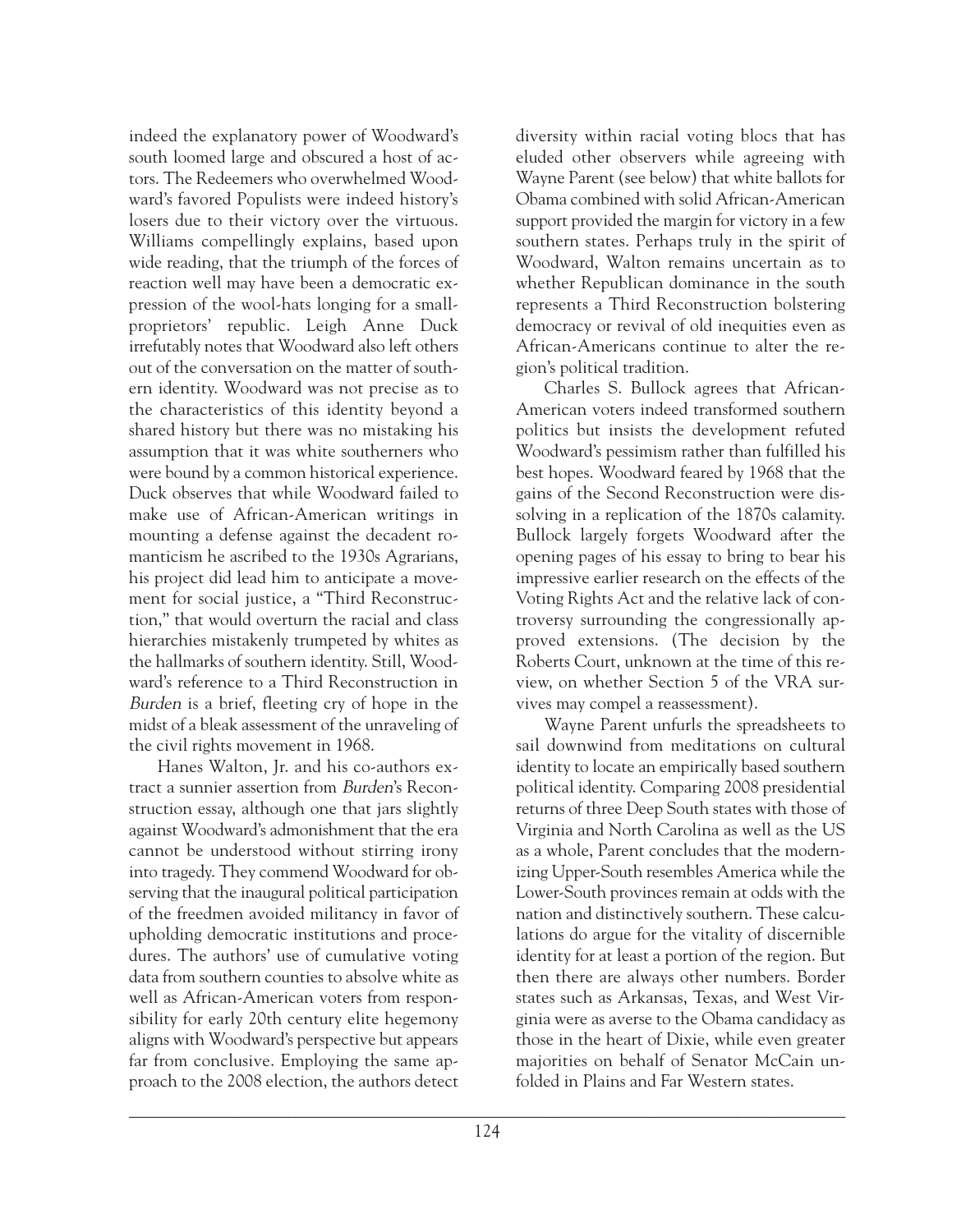indeed the explanatory power of Woodward's south loomed large and obscured a host of actors. The Redeemers who overwhelmed Woodward's favored Populists were indeed history's losers due to their victory over the virtuous. Williams compellingly explains, based upon wide reading, that the triumph of the forces of reaction well may have been a democratic expression of the wool-hats longing for a smallproprietors' republic. Leigh Anne Duck irrefutably notes that Woodward also left others out of the conversation on the matter of southern identity. Woodward was not precise as to the characteristics of this identity beyond a shared history but there was no mistaking his assumption that it was white southerners who were bound by a common historical experience. Duck observes that while Woodward failed to make use of African-American writings in mounting a defense against the decadent romanticism he ascribed to the 1930s Agrarians, his project did lead him to anticipate a movement for social justice, a "Third Reconstruction," that would overturn the racial and class hierarchies mistakenly trumpeted by whites as the hallmarks of southern identity. Still, Woodward's reference to a Third Reconstruction in Burden is a brief, fleeting cry of hope in the midst of a bleak assessment of the unraveling of the civil rights movement in 1968.

Hanes Walton, Jr. and his co-authors extract a sunnier assertion from Burden's Reconstruction essay, although one that jars slightly against Woodward's admonishment that the era cannot be understood without stirring irony into tragedy. They commend Woodward for observing that the inaugural political participation of the freedmen avoided militancy in favor of upholding democratic institutions and procedures. The authors' use of cumulative voting data from southern counties to absolve white as well as African-American voters from responsibility for early 20th century elite hegemony aligns with Woodward's perspective but appears far from conclusive. Employing the same approach to the 2008 election, the authors detect diversity within racial voting blocs that has eluded other observers while agreeing with Wayne Parent (see below) that white ballots for Obama combined with solid African-American support provided the margin for victory in a few southern states. Perhaps truly in the spirit of Woodward, Walton remains uncertain as to whether Republican dominance in the south represents a Third Reconstruction bolstering democracy or revival of old inequities even as African-Americans continue to alter the region's political tradition.

Charles S. Bullock agrees that African-American voters indeed transformed southern politics but insists the development refuted Woodward's pessimism rather than fulfilled his best hopes. Woodward feared by 1968 that the gains of the Second Reconstruction were dissolving in a replication of the 1870s calamity. Bullock largely forgets Woodward after the opening pages of his essay to bring to bear his impressive earlier research on the effects of the Voting Rights Act and the relative lack of controversy surrounding the congressionally approved extensions. (The decision by the Roberts Court, unknown at the time of this review, on whether Section 5 of the VRA survives may compel a reassessment).

Wayne Parent unfurls the spreadsheets to sail downwind from meditations on cultural identity to locate an empirically based southern political identity. Comparing 2008 presidential returns of three Deep South states with those of Virginia and North Carolina as well as the US as a whole, Parent concludes that the modernizing Upper-South resembles America while the Lower-South provinces remain at odds with the nation and distinctively southern. These calculations do argue for the vitality of discernible identity for at least a portion of the region. But then there are always other numbers. Border states such as Arkansas, Texas, and West Virginia were as averse to the Obama candidacy as those in the heart of Dixie, while even greater majorities on behalf of Senator McCain unfolded in Plains and Far Western states.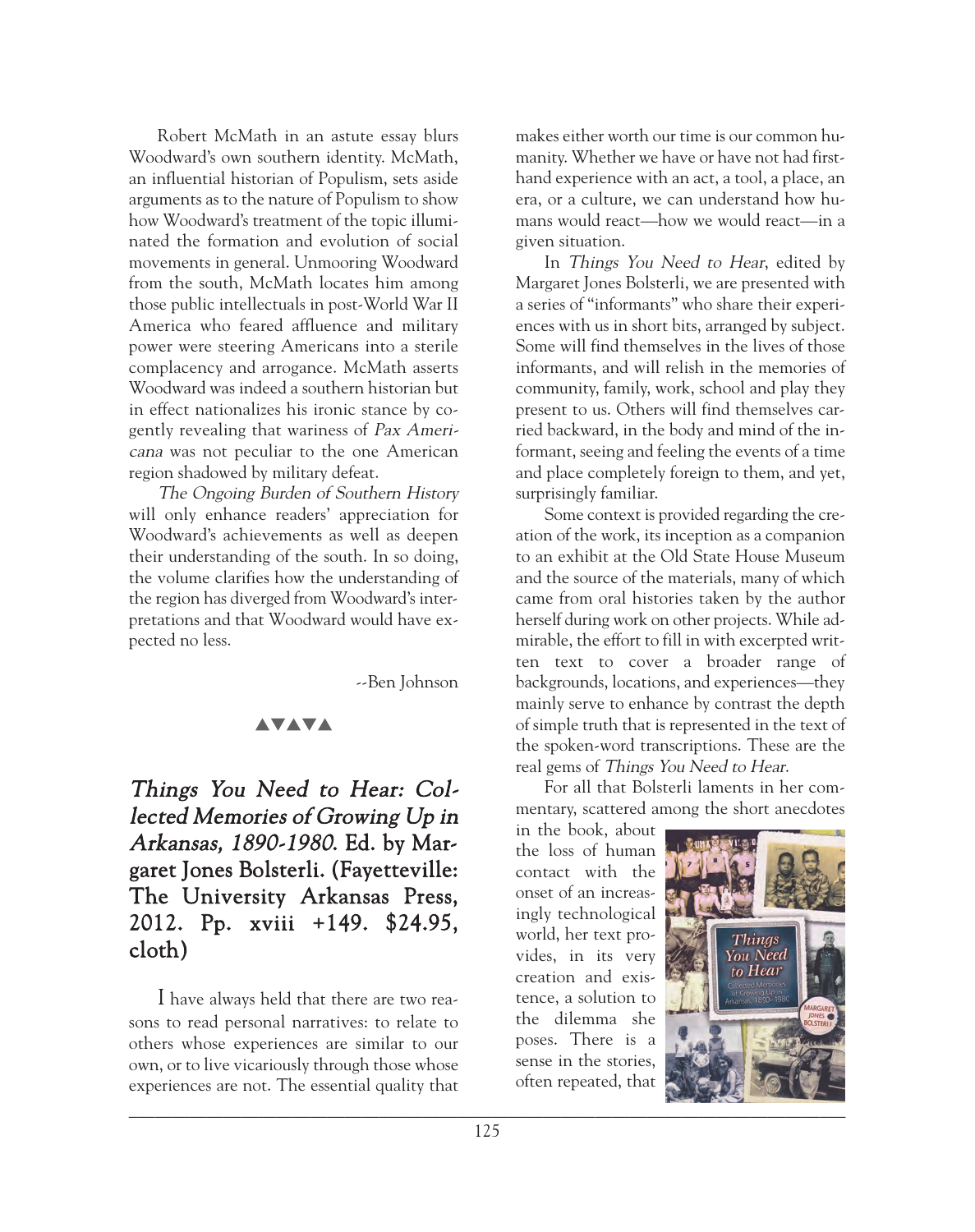Robert McMath in an astute essay blurs Woodward's own southern identity. McMath, an influential historian of Populism, sets aside arguments as to the nature of Populism to show how Woodward's treatment of the topic illuminated the formation and evolution of social movements in general. Unmooring Woodward from the south, McMath locates him among those public intellectuals in post-World War II America who feared affluence and military power were steering Americans into a sterile complacency and arrogance. McMath asserts Woodward was indeed a southern historian but in effect nationalizes his ironic stance by cogently revealing that wariness of Pax Americana was not peculiar to the one American region shadowed by military defeat.

The Ongoing Burden of Southern History will only enhance readers' appreciation for Woodward's achievements as well as deepen their understanding of the south. In so doing, the volume clarifies how the understanding of the region has diverged from Woodward's interpretations and that Woodward would have expected no less.

--Ben Johnson

## **AVAVA**

Things You Need to Hear: Collected Memories of Growing Up in Arkansas, 1890-1980. Ed. by Margaret Jones Bolsterli. (Fayetteville: The University Arkansas Press, 2012. Pp. xviii +149. \$24.95, cloth)

I have always held that there are two reasons to read personal narratives: to relate to others whose experiences are similar to our own, or to live vicariously through those whose experiences are not. The essential quality that makes either worth our time is our common humanity. Whether we have or have not had firsthand experience with an act, a tool, a place, an era, or a culture, we can understand how humans would react—how we would react—in a given situation.

In *Things You Need to Hear*, edited by Margaret Jones Bolsterli, we are presented with a series of "informants" who share their experiences with us in short bits, arranged by subject. Some will find themselves in the lives of those informants, and will relish in the memories of community, family, work, school and play they present to us. Others will find themselves carried backward, in the body and mind of the informant, seeing and feeling the events of a time and place completely foreign to them, and yet, surprisingly familiar.

Some context is provided regarding the creation of the work, its inception as a companion to an exhibit at the Old State House Museum and the source of the materials, many of which came from oral histories taken by the author herself during work on other projects. While admirable, the effort to fill in with excerpted written text to cover a broader range of backgrounds, locations, and experiences—they mainly serve to enhance by contrast the depth of simple truth that is represented in the text of the spoken-word transcriptions. These are the real gems of Things You Need to Hear.

For all that Bolsterli laments in her commentary, scattered among the short anecdotes

in the book, about the loss of human contact with the onset of an increasingly technological world, her text provides, in its very creation and existence, a solution to the dilemma she poses. There is a sense in the stories, often repeated, that